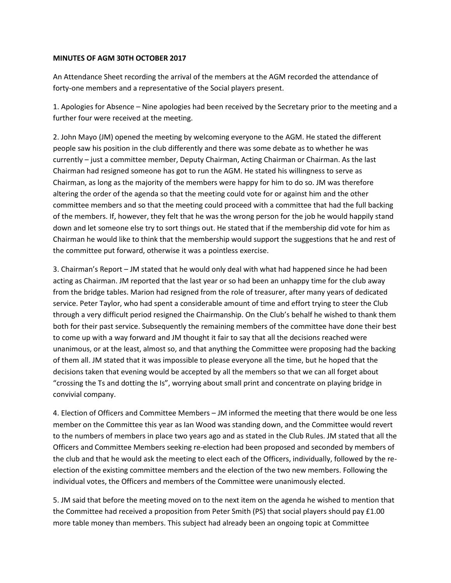## **MINUTES OF AGM 30TH OCTOBER 2017**

An Attendance Sheet recording the arrival of the members at the AGM recorded the attendance of forty-one members and a representative of the Social players present.

1. Apologies for Absence – Nine apologies had been received by the Secretary prior to the meeting and a further four were received at the meeting.

2. John Mayo (JM) opened the meeting by welcoming everyone to the AGM. He stated the different people saw his position in the club differently and there was some debate as to whether he was currently – just a committee member, Deputy Chairman, Acting Chairman or Chairman. As the last Chairman had resigned someone has got to run the AGM. He stated his willingness to serve as Chairman, as long as the majority of the members were happy for him to do so. JM was therefore altering the order of the agenda so that the meeting could vote for or against him and the other committee members and so that the meeting could proceed with a committee that had the full backing of the members. If, however, they felt that he was the wrong person for the job he would happily stand down and let someone else try to sort things out. He stated that if the membership did vote for him as Chairman he would like to think that the membership would support the suggestions that he and rest of the committee put forward, otherwise it was a pointless exercise.

3. Chairman's Report – JM stated that he would only deal with what had happened since he had been acting as Chairman. JM reported that the last year or so had been an unhappy time for the club away from the bridge tables. Marion had resigned from the role of treasurer, after many years of dedicated service. Peter Taylor, who had spent a considerable amount of time and effort trying to steer the Club through a very difficult period resigned the Chairmanship. On the Club's behalf he wished to thank them both for their past service. Subsequently the remaining members of the committee have done their best to come up with a way forward and JM thought it fair to say that all the decisions reached were unanimous, or at the least, almost so, and that anything the Committee were proposing had the backing of them all. JM stated that it was impossible to please everyone all the time, but he hoped that the decisions taken that evening would be accepted by all the members so that we can all forget about "crossing the Ts and dotting the Is", worrying about small print and concentrate on playing bridge in convivial company.

4. Election of Officers and Committee Members – JM informed the meeting that there would be one less member on the Committee this year as Ian Wood was standing down, and the Committee would revert to the numbers of members in place two years ago and as stated in the Club Rules. JM stated that all the Officers and Committee Members seeking re-election had been proposed and seconded by members of the club and that he would ask the meeting to elect each of the Officers, individually, followed by the reelection of the existing committee members and the election of the two new members. Following the individual votes, the Officers and members of the Committee were unanimously elected.

5. JM said that before the meeting moved on to the next item on the agenda he wished to mention that the Committee had received a proposition from Peter Smith (PS) that social players should pay £1.00 more table money than members. This subject had already been an ongoing topic at Committee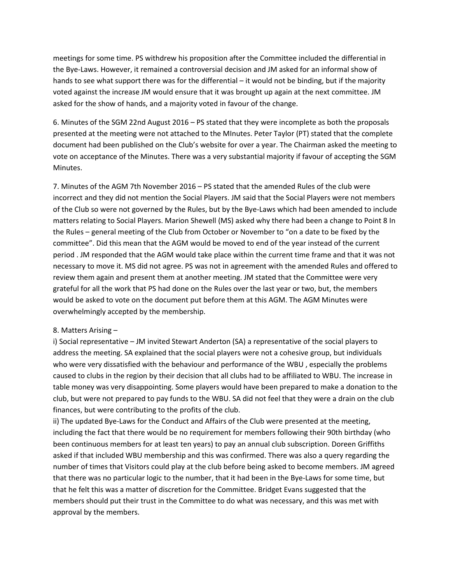meetings for some time. PS withdrew his proposition after the Committee included the differential in the Bye-Laws. However, it remained a controversial decision and JM asked for an informal show of hands to see what support there was for the differential – it would not be binding, but if the majority voted against the increase JM would ensure that it was brought up again at the next committee. JM asked for the show of hands, and a majority voted in favour of the change.

6. Minutes of the SGM 22nd August 2016 – PS stated that they were incomplete as both the proposals presented at the meeting were not attached to the MInutes. Peter Taylor (PT) stated that the complete document had been published on the Club's website for over a year. The Chairman asked the meeting to vote on acceptance of the Minutes. There was a very substantial majority if favour of accepting the SGM Minutes.

7. Minutes of the AGM 7th November 2016 – PS stated that the amended Rules of the club were incorrect and they did not mention the Social Players. JM said that the Social Players were not members of the Club so were not governed by the Rules, but by the Bye-Laws which had been amended to include matters relating to Social Players. Marion Shewell (MS) asked why there had been a change to Point 8 In the Rules – general meeting of the Club from October or November to "on a date to be fixed by the committee". Did this mean that the AGM would be moved to end of the year instead of the current period . JM responded that the AGM would take place within the current time frame and that it was not necessary to move it. MS did not agree. PS was not in agreement with the amended Rules and offered to review them again and present them at another meeting. JM stated that the Committee were very grateful for all the work that PS had done on the Rules over the last year or two, but, the members would be asked to vote on the document put before them at this AGM. The AGM Minutes were overwhelmingly accepted by the membership.

## 8. Matters Arising –

i) Social representative – JM invited Stewart Anderton (SA) a representative of the social players to address the meeting. SA explained that the social players were not a cohesive group, but individuals who were very dissatisfied with the behaviour and performance of the WBU , especially the problems caused to clubs in the region by their decision that all clubs had to be affiliated to WBU. The increase in table money was very disappointing. Some players would have been prepared to make a donation to the club, but were not prepared to pay funds to the WBU. SA did not feel that they were a drain on the club finances, but were contributing to the profits of the club.

ii) The updated Bye-Laws for the Conduct and Affairs of the Club were presented at the meeting, including the fact that there would be no requirement for members following their 90th birthday (who been continuous members for at least ten years) to pay an annual club subscription. Doreen Griffiths asked if that included WBU membership and this was confirmed. There was also a query regarding the number of times that Visitors could play at the club before being asked to become members. JM agreed that there was no particular logic to the number, that it had been in the Bye-Laws for some time, but that he felt this was a matter of discretion for the Committee. Bridget Evans suggested that the members should put their trust in the Committee to do what was necessary, and this was met with approval by the members.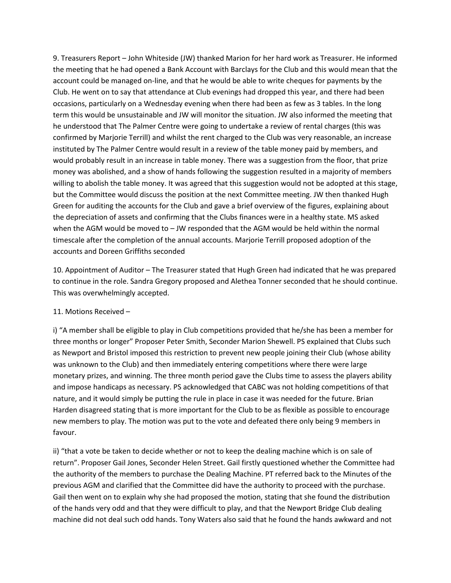9. Treasurers Report – John Whiteside (JW) thanked Marion for her hard work as Treasurer. He informed the meeting that he had opened a Bank Account with Barclays for the Club and this would mean that the account could be managed on-line, and that he would be able to write cheques for payments by the Club. He went on to say that attendance at Club evenings had dropped this year, and there had been occasions, particularly on a Wednesday evening when there had been as few as 3 tables. In the long term this would be unsustainable and JW will monitor the situation. JW also informed the meeting that he understood that The Palmer Centre were going to undertake a review of rental charges (this was confirmed by Marjorie Terrill) and whilst the rent charged to the Club was very reasonable, an increase instituted by The Palmer Centre would result in a review of the table money paid by members, and would probably result in an increase in table money. There was a suggestion from the floor, that prize money was abolished, and a show of hands following the suggestion resulted in a majority of members willing to abolish the table money. It was agreed that this suggestion would not be adopted at this stage, but the Committee would discuss the position at the next Committee meeting. JW then thanked Hugh Green for auditing the accounts for the Club and gave a brief overview of the figures, explaining about the depreciation of assets and confirming that the Clubs finances were in a healthy state. MS asked when the AGM would be moved to – JW responded that the AGM would be held within the normal timescale after the completion of the annual accounts. Marjorie Terrill proposed adoption of the accounts and Doreen Griffiths seconded

10. Appointment of Auditor – The Treasurer stated that Hugh Green had indicated that he was prepared to continue in the role. Sandra Gregory proposed and Alethea Tonner seconded that he should continue. This was overwhelmingly accepted.

## 11. Motions Received –

i) "A member shall be eligible to play in Club competitions provided that he/she has been a member for three months or longer" Proposer Peter Smith, Seconder Marion Shewell. PS explained that Clubs such as Newport and Bristol imposed this restriction to prevent new people joining their Club (whose ability was unknown to the Club) and then immediately entering competitions where there were large monetary prizes, and winning. The three month period gave the Clubs time to assess the players ability and impose handicaps as necessary. PS acknowledged that CABC was not holding competitions of that nature, and it would simply be putting the rule in place in case it was needed for the future. Brian Harden disagreed stating that is more important for the Club to be as flexible as possible to encourage new members to play. The motion was put to the vote and defeated there only being 9 members in favour.

ii) "that a vote be taken to decide whether or not to keep the dealing machine which is on sale of return". Proposer Gail Jones, Seconder Helen Street. Gail firstly questioned whether the Committee had the authority of the members to purchase the Dealing Machine. PT referred back to the Minutes of the previous AGM and clarified that the Committee did have the authority to proceed with the purchase. Gail then went on to explain why she had proposed the motion, stating that she found the distribution of the hands very odd and that they were difficult to play, and that the Newport Bridge Club dealing machine did not deal such odd hands. Tony Waters also said that he found the hands awkward and not